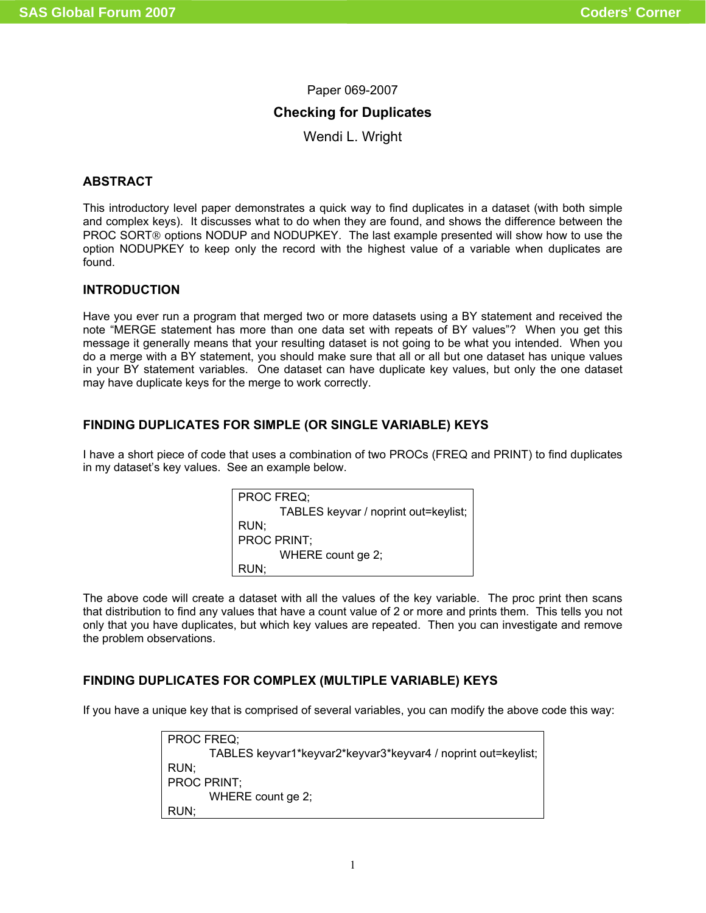# Paper 069-2007

# **Checking for Duplicates**

Wendi L. Wright

# **ABSTRACT**

This introductory level paper demonstrates a quick way to find duplicates in a dataset (with both simple and complex keys). It discusses what to do when they are found, and shows the difference between the PROC SORT® options NODUP and NODUPKEY. The last example presented will show how to use the option NODUPKEY to keep only the record with the highest value of a variable when duplicates are found.

### **INTRODUCTION**

Have you ever run a program that merged two or more datasets using a BY statement and received the note "MERGE statement has more than one data set with repeats of BY values"? When you get this message it generally means that your resulting dataset is not going to be what you intended. When you do a merge with a BY statement, you should make sure that all or all but one dataset has unique values in your BY statement variables. One dataset can have duplicate key values, but only the one dataset may have duplicate keys for the merge to work correctly.

# **FINDING DUPLICATES FOR SIMPLE (OR SINGLE VARIABLE) KEYS**

I have a short piece of code that uses a combination of two PROCs (FREQ and PRINT) to find duplicates in my dataset's key values. See an example below.

| PROC FREQ:                           |
|--------------------------------------|
| TABLES keyvar / noprint out=keylist; |
| RUN:                                 |
| <b>PROC PRINT:</b>                   |
| WHERE count ge 2;                    |
| RUN:                                 |

The above code will create a dataset with all the values of the key variable. The proc print then scans that distribution to find any values that have a count value of 2 or more and prints them. This tells you not only that you have duplicates, but which key values are repeated. Then you can investigate and remove the problem observations.

# **FINDING DUPLICATES FOR COMPLEX (MULTIPLE VARIABLE) KEYS**

If you have a unique key that is comprised of several variables, you can modify the above code this way:

PROC FREQ; TABLES keyvar1\*keyvar2\*keyvar3\*keyvar4 / noprint out=keylist; RUN; PROC PRINT; WHERE count ge 2; RUN;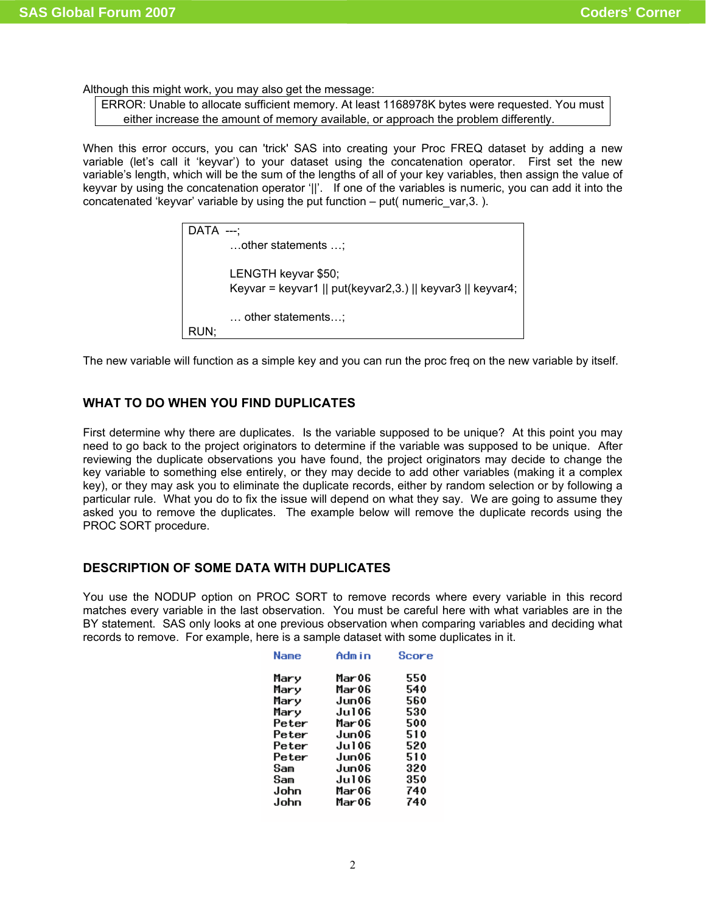Although this might work, you may also get the message:

ERROR: Unable to allocate sufficient memory. At least 1168978K bytes were requested. You must either increase the amount of memory available, or approach the problem differently.

When this error occurs, you can 'trick' SAS into creating your Proc FREQ dataset by adding a new variable (let's call it 'keyvar') to your dataset using the concatenation operator. First set the new variable's length, which will be the sum of the lengths of all of your key variables, then assign the value of keyvar by using the concatenation operator '||'. If one of the variables is numeric, you can add it into the concatenated 'keyvar' variable by using the put function  $-$  put( numeric var,3. ).

| $DATA$ ---; |                                                                                   |
|-------------|-----------------------------------------------------------------------------------|
|             | other statements ;                                                                |
|             | LENGTH keyvar \$50;<br>Keyvar = keyvar1    put(keyvar2,3.)    keyvar3    keyvar4; |
| RUN:        | $\dots$ other statements;                                                         |

The new variable will function as a simple key and you can run the proc freq on the new variable by itself.

#### **WHAT TO DO WHEN YOU FIND DUPLICATES**

First determine why there are duplicates. Is the variable supposed to be unique? At this point you may need to go back to the project originators to determine if the variable was supposed to be unique. After reviewing the duplicate observations you have found, the project originators may decide to change the key variable to something else entirely, or they may decide to add other variables (making it a complex key), or they may ask you to eliminate the duplicate records, either by random selection or by following a particular rule. What you do to fix the issue will depend on what they say. We are going to assume they asked you to remove the duplicates. The example below will remove the duplicate records using the PROC SORT procedure.

#### **DESCRIPTION OF SOME DATA WITH DUPLICATES**

You use the NODUP option on PROC SORT to remove records where every variable in this record matches every variable in the last observation. You must be careful here with what variables are in the BY statement. SAS only looks at one previous observation when comparing variables and deciding what records to remove. For example, here is a sample dataset with some duplicates in it.

| Name  | Admin  | Score |
|-------|--------|-------|
| Mary  | Mar 06 | 550   |
| Mary  | Mar 06 | 540   |
| Mary  | Jun06  | 560   |
| Mary  | Ju106  | 530   |
| Peter | Mar 06 | 500   |
| Peter | Jun06  | 510   |
| Peter | Ju106  | 520   |
| Peter | Jun06  | 510   |
| Sam   | Jun06  | 320   |
| Sam   | Ju106  | 350   |
| John  | Mar 06 | 740   |
| John  | Mar 06 | 740   |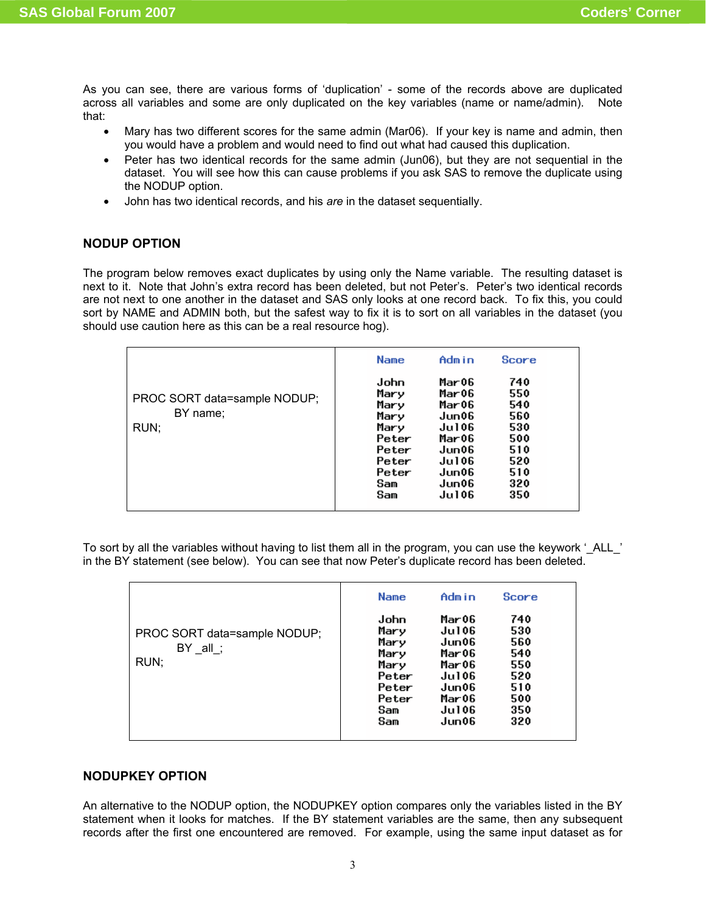As you can see, there are various forms of 'duplication' - some of the records above are duplicated across all variables and some are only duplicated on the key variables (name or name/admin). Note that:

- Mary has two different scores for the same admin (Mar06). If your key is name and admin, then you would have a problem and would need to find out what had caused this duplication.
- Peter has two identical records for the same admin (Jun06), but they are not sequential in the dataset. You will see how this can cause problems if you ask SAS to remove the duplicate using the NODUP option.
- John has two identical records, and his *are* in the dataset sequentially.

# **NODUP OPTION**

The program below removes exact duplicates by using only the Name variable. The resulting dataset is next to it. Note that John's extra record has been deleted, but not Peter's. Peter's two identical records are not next to one another in the dataset and SAS only looks at one record back. To fix this, you could sort by NAME and ADMIN both, but the safest way to fix it is to sort on all variables in the dataset (you should use caution here as this can be a real resource hog).

|                                                  | <b>Name</b>                                                                            | Admin                                                                                           | Score                                                                     |  |
|--------------------------------------------------|----------------------------------------------------------------------------------------|-------------------------------------------------------------------------------------------------|---------------------------------------------------------------------------|--|
| PROC SORT data=sample NODUP;<br>BY name;<br>RUN; | John<br>Mary<br>Mary<br>Mary<br>Mary<br>Peter<br>Peter<br>Peter<br>Peter<br>Sam<br>Sam | Mar06<br>Mar06<br>Mar06<br>Jun06<br>Ju106<br>Mar06<br>Jun06<br>Ju106<br>Jun06<br>Jun06<br>Ju106 | 740<br>550<br>540<br>560<br>530<br>500<br>510<br>520<br>510<br>320<br>350 |  |

To sort by all the variables without having to list them all in the program, you can use the keywork '\_ALL\_\_' in the BY statement (see below). You can see that now Peter's duplicate record has been deleted.

|                                                     | <b>Name</b>                                                                   | Admin                                                                                                  | <b>Score</b>                                                       |  |
|-----------------------------------------------------|-------------------------------------------------------------------------------|--------------------------------------------------------------------------------------------------------|--------------------------------------------------------------------|--|
| PROC SORT data=sample NODUP;<br>$BY$ _all_;<br>RUN; | John<br>Mary<br>Mary<br>Mary<br>Mary<br>Peter<br>Peter<br>Peter<br>Sam<br>Sam | Mar 06<br><b>Jul06</b><br>Jun06<br>Mar 06<br>Mar06<br><b>Jul06</b><br>Jun06<br>Mar06<br>Ju106<br>Jun06 | 740<br>530<br>560<br>540<br>550<br>520<br>510<br>500<br>350<br>320 |  |

### **NODUPKEY OPTION**

An alternative to the NODUP option, the NODUPKEY option compares only the variables listed in the BY statement when it looks for matches. If the BY statement variables are the same, then any subsequent records after the first one encountered are removed. For example, using the same input dataset as for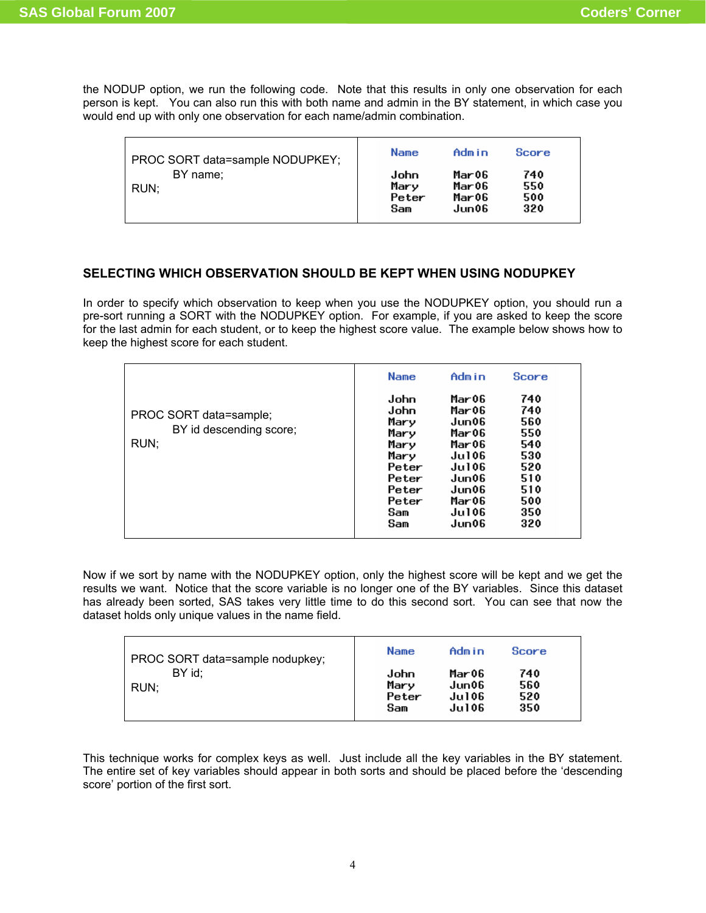the NODUP option, we run the following code. Note that this results in only one observation for each person is kept. You can also run this with both name and admin in the BY statement, in which case you would end up with only one observation for each name/admin combination.

| PROC SORT data=sample NODUPKEY; | <b>Name</b>                  | Admin                            | Score                    |  |
|---------------------------------|------------------------------|----------------------------------|--------------------------|--|
| BY name;<br>  RUN:              | John<br>Mary<br>Peter<br>Sam | Mar06<br>Mar06<br>Mar06<br>Jun06 | 740<br>550<br>500<br>320 |  |

# **SELECTING WHICH OBSERVATION SHOULD BE KEPT WHEN USING NODUPKEY**

In order to specify which observation to keep when you use the NODUPKEY option, you should run a pre-sort running a SORT with the NODUPKEY option. For example, if you are asked to keep the score for the last admin for each student, or to keep the highest score value. The example below shows how to keep the highest score for each student.

|                                                           | <b>Name</b>                                                                                    | Admin                                                                                                             | <b>Score</b>                                                                     |
|-----------------------------------------------------------|------------------------------------------------------------------------------------------------|-------------------------------------------------------------------------------------------------------------------|----------------------------------------------------------------------------------|
| PROC SORT data=sample;<br>BY id descending score;<br>RUN; | John<br>John<br>Mary<br>Mary<br>Mary<br>Mary<br>Peter<br>Peter<br>Peter<br>Peter<br>Sam<br>Sam | Mar06<br>Mar06<br>Jun06<br>Mar06<br>Mar06<br>Jul 06<br><b>Jul06</b><br>Jun06<br>Jun06<br>Mar06<br>Jul 06<br>Jun06 | 740<br>740<br>560<br>550<br>540<br>530<br>520<br>510<br>510<br>500<br>350<br>320 |

Now if we sort by name with the NODUPKEY option, only the highest score will be kept and we get the results we want. Notice that the score variable is no longer one of the BY variables. Since this dataset has already been sorted, SAS takes very little time to do this second sort. You can see that now the dataset holds only unique values in the name field.

| PROC SORT data=sample nodupkey; | <b>Name</b>                  | Admin                             | Score                    |
|---------------------------------|------------------------------|-----------------------------------|--------------------------|
| BY id:<br>RUN:                  | John<br>Mary<br>Peter<br>Sam | Mar 06<br>Jun06<br>Ju106<br>Ju106 | 740<br>560<br>520<br>350 |

This technique works for complex keys as well. Just include all the key variables in the BY statement. The entire set of key variables should appear in both sorts and should be placed before the 'descending score' portion of the first sort.